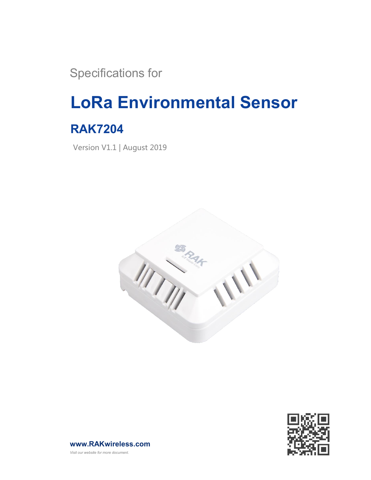Specifications for

# **LoRa Environmental Sensor**

### **RAK7204**

Version V1.1 | August 2019







*Visit our website for more document.*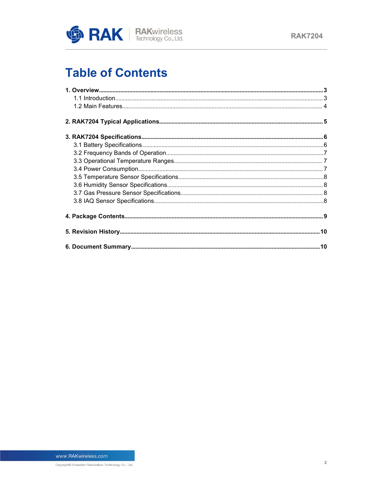



### **Table of Contents**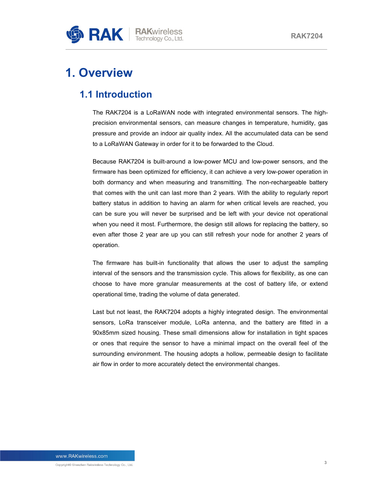

### <span id="page-2-0"></span>**1. Overview**

#### <span id="page-2-1"></span>**1.1 Introduction**

The RAK7204 is a LoRaWAN node with integrated environmental sensors. The high precision environmental sensors, can measure changes in temperature, humidity, gas pressure and provide an indoor air quality index. All the accumulated data can be send to a LoRaWAN Gateway in order for it to be forwarded to the Cloud.

Because RAK7204 isbuilt-around a low-power MCU and low-power sensors, and the firmware has been optimized for efficiency, it can achieve a very low-power operation in both dormancy and when measuring and transmitting. The non-rechargeable battery that comes with the unit can last more than 2 years. With the ability to regularly report battery status in addition to having an alarm for when critical levels are reached, you can be sure you will never be surprised and be left with your device not operational when you need it most. Furthermore, the design still allows for replacing the battery, so even after those 2 year are up you can still refresh your node for another 2 years of operation.

The firmware has built-in functionality that allows the user to adjust the sampling interval of the sensors and the transmission cycle. This allows for flexibility, as one can choose to have more granular measurements at the cost of battery life, or extend operational time, trading the volume of data generated.

Last but not least, the RAK7204 adopts a highly integrated design. The environmental sensors, LoRa transceiver module, LoRa antenna, and the battery are fitted in a 90x85mm sized housing. These small dimensions allow for installation in tight spaces or ones that require the sensor to have a minimal impact on the overall feel of the surrounding environment. The housing adopts a hollow, permeable design to facilitate air flow in order to more accurately detect the environmental changes.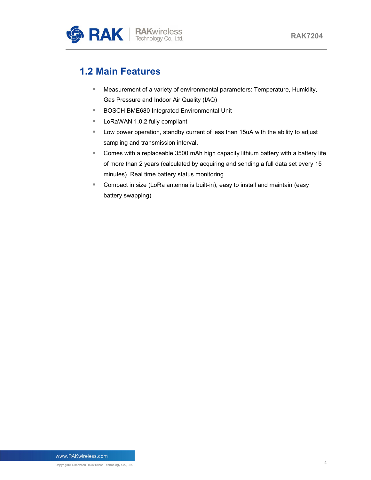

#### <span id="page-3-0"></span>**1.2 Main Features**

- Measurement of a variety of environmental parameters: Temperature, Humidity, Gas Pressure and Indoor Air Quality (IAQ)
- **BOSCH BME680 Integrated Environmental Unit**
- **LoRaWAN 1.0.2 fully compliant**
- **EXTE:** Low power operation, standby current of less than 15uA with the ability to adjust sampling and transmission interval.
- Comes with a replaceable 3500 mAh high capacity lithium battery with a battery life of more than 2 years (calculated by acquiring and sending a full data set every 15 minutes). Real time battery status monitoring.
- Compact in size (LoRa antenna is built-in), easy to install and maintain (easy battery swapping)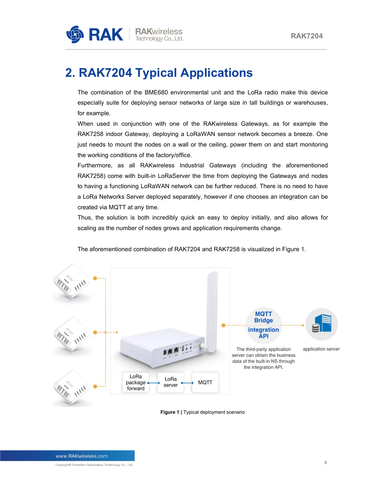

### <span id="page-4-0"></span>**2. RAK7204 Typical Applications**

The combination of the BME680 environmental unit and the LoRa radio make this device especially suite for deploying sensor networks of large size in tall buildings or warehouses, for example.

When used in conjunction with one of the RAKwireless Gateways, as for example the RAK7258 indoor Gateway, deploying a LoRaWAN sensor network becomes a breeze. One just needs to mount the nodes on a wall or the ceiling, power them on and start monitoring the working conditions of the factory/office.

Furthermore, as all RAKwireless Industrial Gateways (including the aforementioned RAK7258) come with built-in LoRaServer the time from deploying the Gateways and nodes to having a functioning LoRaWAN network can be further reduced. There is no need to have a LoRa Networks Server deployed separately, however if one chooses an integration can be created via MQTT at any time.

Thus, the solution is both incredibly quick an easy to deploy initially, and also allows for scaling as the number of nodes grows and application requirements change.



The aforementioned combination of RAK7204 and RAK7258 is visualized in Figure 1.

**Figure 1 |** Typical deployment scenario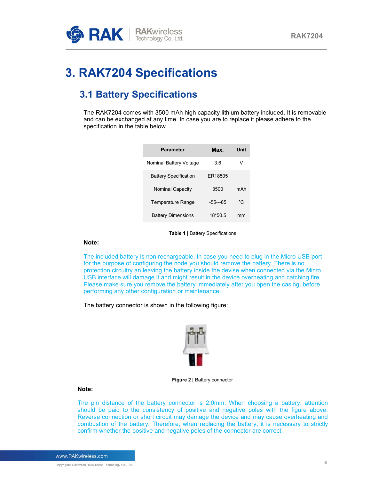

### <span id="page-5-0"></span>**3. RAK7204 Specifications**

### <span id="page-5-1"></span>**3.1 Battery Specifications**

The RAK7204 comes with 3500 mAh high capacity lithium battery included. It is removable and can be exchanged at any time. In case you are to replace it please adhere to the specification in the table below.

| <b>Parameter</b>             | Max.      | Unit |
|------------------------------|-----------|------|
| Nominal Battery Voltage      | 3.6       | V    |
| <b>Battery Specification</b> | ER18505   |      |
| Nominal Capacity             | 3500      | mAh  |
| Temperature Range            | $-55--85$ | °C   |
| <b>Battery Dimensions</b>    | 18*50.5   | mm   |

**Table 1 |** Battery Specifications

#### **Note:**

The included battery is non rechargeable. In case you need to plug in the Micro USB port for the purpose of configuring the node you should remove the battery. There is no protection circuitry an leaving the battery inside the devise when connected via the Micro USB interface will damage it and might result in the device overheating and catching fire. Please make sure you remove the battery immediately after you open the casing, before performing any other configuration or maintenance.

The battery connector is shown in the following figure:



**Figure 2 |** Battery connector

**Note:**

The pin distance of the battery connector is 2.0mm. When choosing a battery, attention should be paid to the consistency of positive and negative poles with the figure above. Reverse connection or short circuit may damage the device and may cause overheating and combustion of the battery. Therefore, when replacing the battery, it is necessary to strictly confirm whether the positive and negative poles of the connector are correct.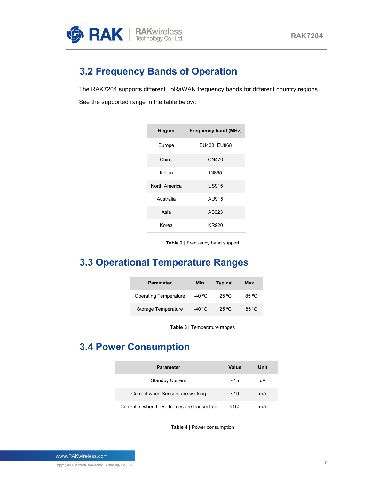

#### <span id="page-6-0"></span>**3.2 Frequency Bands of Operation**

The RAK7204 supports different LoRaWAN frequency bands for different country regions.

See the supported range in the table below:

| Region        | <b>Frequency band (MHz)</b> |
|---------------|-----------------------------|
| Europe        | EU433, EU868                |
| China         | CN470                       |
| Indian        | <b>IN865</b>                |
| North America | <b>US915</b>                |
| Australia     | AU915                       |
| Asia          | AS923                       |
| Korea         | <b>KR920</b>                |

**Table 2 |** Frequency band support

### <span id="page-6-1"></span>**3.3 Operational Temperature Ranges**

| <b>Parameter</b>      | Min. | <b>Typical</b>        | Max.             |
|-----------------------|------|-----------------------|------------------|
| Operating Temperature |      | -40 °C +25 °C         | +85 °C           |
| Storage Temperature   |      | $-40\degree$ C +25 °C | +85 $^{\circ}$ C |

**Table 3 |** Temperature ranges

#### <span id="page-6-2"></span>**3.4 Power Consumption**

| <b>Parameter</b>                            | Value  | Unit |
|---------------------------------------------|--------|------|
| <b>Standby Current</b>                      | $<$ 15 | uA   |
| Current when Sensors are working            | ~10    | mA   |
| Current in when LoRa frames are transmitted | < 150  | mA   |

**Table 4 |** Power consumption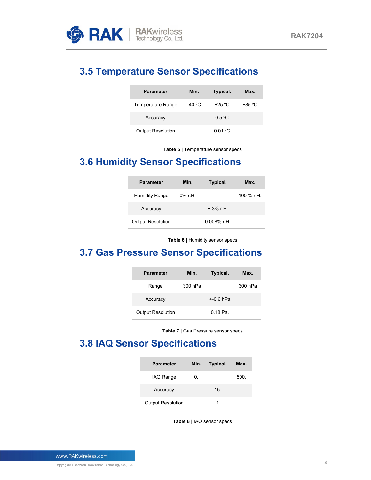

### <span id="page-7-0"></span>**3.5 Temperature Sensor Specifications**

| <b>Parameter</b>         | Min.   | Typical.                 | Max.     |
|--------------------------|--------|--------------------------|----------|
| Temperature Range        | -40 °C | +25 $\mathrm{^{\circ}C}$ | $+85 °C$ |
| Accuracy                 |        | 0.5 °C                   |          |
| <b>Output Resolution</b> |        | 0.01 °C                  |          |

**Table 5 |** Temperature sensor specs

#### <span id="page-7-1"></span>**3.6 Humidity Sensor Specifications**

| <b>Parameter</b>         | Min.    | Typical.       | Max.       |
|--------------------------|---------|----------------|------------|
| Humidity Range           | 0% r.H. |                | 100 % r.H. |
| Accuracy                 |         | $+3%$ r.H.     |            |
| <b>Output Resolution</b> |         | $0.008\%$ r.H. |            |

**Table 6 |** Humidity sensor specs

#### <span id="page-7-2"></span>**3.7 Gas Pressure Sensor Specifications**

| <b>Parameter</b>         | Min.    | Typical.   | Max.    |
|--------------------------|---------|------------|---------|
| Range                    | 300 hPa |            | 300 hPa |
| Accuracy                 |         | $+0.6$ hPa |         |
| <b>Output Resolution</b> |         | $0.18$ Pa. |         |

**Table 7 |** Gas Pressure sensor specs

#### <span id="page-7-3"></span>**3.8 IAQ Sensor Specifications**

| <b>Parameter</b>         | Min. | Typical. | Max. |  |
|--------------------------|------|----------|------|--|
| IAQ Range                | 0.   |          | 500. |  |
| Accuracy                 |      | 15.      |      |  |
| <b>Output Resolution</b> |      |          |      |  |

**Table 8 |** IAQ sensor specs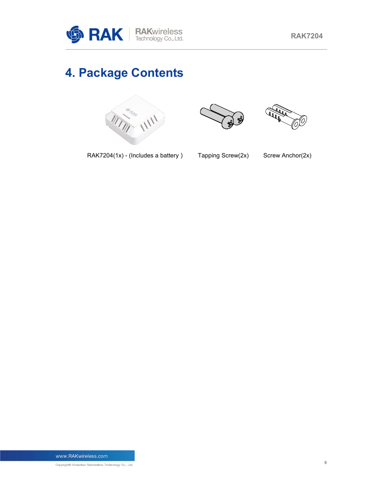

## <span id="page-8-0"></span>**4. Package Contents**







RAK7204(1x) - (Includes a battery) Tapping Screw(2x) Screw Anchor(2x)